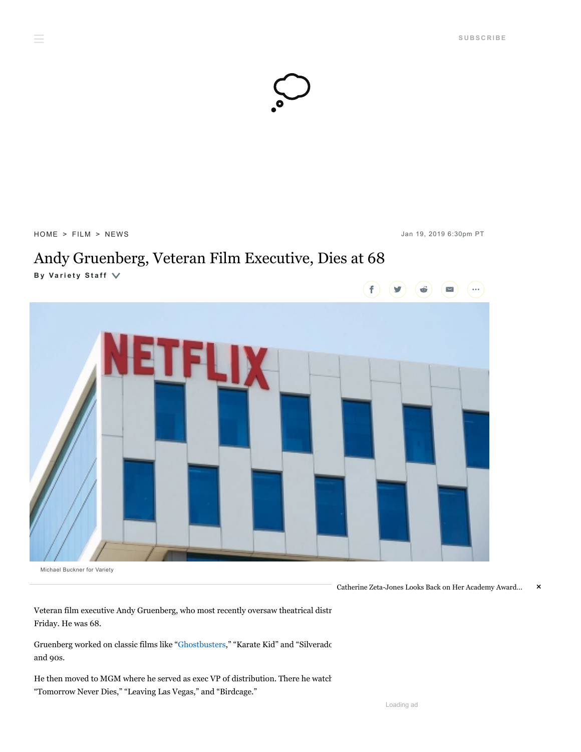

[HOME](https://variety.com/) > [FILM](https://variety.com/v/film/) > [NEWS](https://variety.com/c/news/) Jan 19, 2019 6:30pm PT

 $\equiv$ 

## Andy Gruenberg, Veteran Film Executive, Dies at 68

**B y [Va](https://variety.com/author/variety-staff/) ri e t y S t a f f**



Michael Buckner for Variety

Catherine Zeta-Jones Looks Back on Her Academy Award… ×

Veteran film executive Andy Gruenberg, who most recently oversaw theatrical distr Friday. He was 68.

Gruenberg worked on classic films like ["Ghostbusters,](https://variety.com/t/ghostbusters/)" "Karate Kid" and "Silverado and 90s.

He then moved to MGM where he served as exec VP of distribution. There he watch "Tomorrow Never Dies," "Leaving Las Vegas," and "Birdcage."